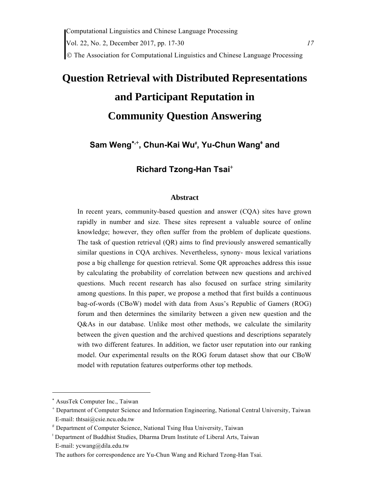# **Question Retrieval with Distributed Representations and Participant Reputation in Community Question Answering**

**Sam Weng, , Chun-Kai Wu , Yu-Chun Wang<sup>ǂ</sup> and** 

# **Richard Tzong-Han Tsai**

#### **Abstract**

In recent years, community-based question and answer (CQA) sites have grown rapidly in number and size. These sites represent a valuable source of online knowledge; however, they often suffer from the problem of duplicate questions. The task of question retrieval (QR) aims to find previously answered semantically similar questions in CQA archives. Nevertheless, synony- mous lexical variations pose a big challenge for question retrieval. Some QR approaches address this issue by calculating the probability of correlation between new questions and archived questions. Much recent research has also focused on surface string similarity among questions. In this paper, we propose a method that first builds a continuous bag-of-words (CBoW) model with data from Asus's Republic of Gamers (ROG) forum and then determines the similarity between a given new question and the Q&As in our database. Unlike most other methods, we calculate the similarity between the given question and the archived questions and descriptions separately with two different features. In addition, we factor user reputation into our ranking model. Our experimental results on the ROG forum dataset show that our CBoW model with reputation features outperforms other top methods.

 AsusTek Computer Inc., Taiwan

<sup>&</sup>lt;sup>+</sup> Department of Computer Science and Information Engineering, National Central University, Taiwan E-mail: thtsai@csie.ncu.edu.tw

 Department of Computer Science, National Tsing Hua University, Taiwan

ǂ Department of Buddhist Studies, Dharma Drum Institute of Liberal Arts, Taiwan E-mail: ycwang@dila.edu.tw

The authors for correspondence are Yu-Chun Wang and Richard Tzong-Han Tsai.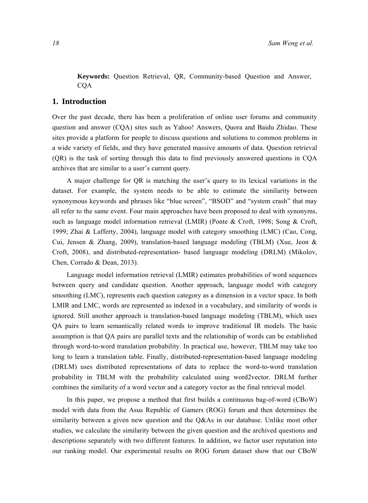**Keywords:** Question Retrieval, QR, Community-based Question and Answer, CQA

## **1. Introduction**

Over the past decade, there has been a proliferation of online user forums and community question and answer (CQA) sites such as Yahoo! Answers, Quora and Baidu Zhidao. These sites provide a platform for people to discuss questions and solutions to common problems in a wide variety of fields, and they have generated massive amounts of data. Question retrieval (QR) is the task of sorting through this data to find previously answered questions in CQA archives that are similar to a user's current query.

A major challenge for QR is matching the user's query to its lexical variations in the dataset. For example, the system needs to be able to estimate the similarity between synonymous keywords and phrases like "blue screen", "BSOD" and "system crash" that may all refer to the same event. Four main approaches have been proposed to deal with synonyms, such as language model information retrieval (LMIR) (Ponte & Croft, 1998; Song & Croft, 1999; Zhai & Lafferty, 2004), language model with category smoothing (LMC) (Cao, Cong, Cui, Jensen & Zhang, 2009), translation-based language modeling (TBLM) (Xue, Jeon & Croft, 2008), and distributed-representation- based language modeling (DRLM) (Mikolov, Chen, Corrado & Dean, 2013).

Language model information retrieval (LMIR) estimates probabilities of word sequences between query and candidate question. Another approach, language model with category smoothing (LMC), represents each question category as a dimension in a vector space. In both LMIR and LMC, words are represented as indexed in a vocabulary, and similarity of words is ignored. Still another approach is translation-based language modeling (TBLM), which uses QA pairs to learn semantically related words to improve traditional IR models. The basic assumption is that QA pairs are parallel texts and the relationship of words can be established through word-to-word translation probability. In practical use, however, TBLM may take too long to learn a translation table. Finally, distributed-representation-based language modeling (DRLM) uses distributed representations of data to replace the word-to-word translation probability in TBLM with the probability calculated using word2vector. DRLM further combines the similarity of a word vector and a category vector as the final retrieval model.

In this paper, we propose a method that first builds a continuous bag-of-word (CBoW) model with data from the Asus Republic of Gamers (ROG) forum and then determines the similarity between a given new question and the Q&As in our database. Unlike most other studies, we calculate the similarity between the given question and the archived questions and descriptions separately with two different features. In addition, we factor user reputation into our ranking model. Our experimental results on ROG forum dataset show that our CBoW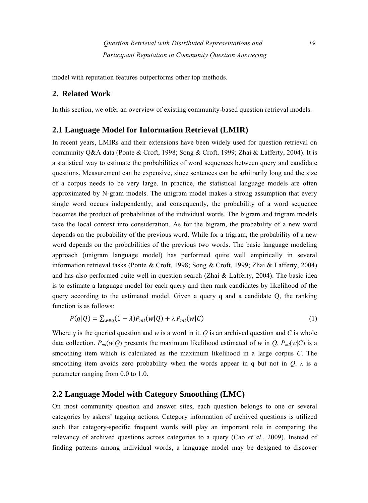model with reputation features outperforms other top methods.

# **2. Related Work**

In this section, we offer an overview of existing community-based question retrieval models.

#### **2.1 Language Model for Information Retrieval (LMIR)**

In recent years, LMIRs and their extensions have been widely used for question retrieval on community Q&A data (Ponte & Croft, 1998; Song & Croft, 1999; Zhai & Lafferty, 2004). It is a statistical way to estimate the probabilities of word sequences between query and candidate questions. Measurement can be expensive, since sentences can be arbitrarily long and the size of a corpus needs to be very large. In practice, the statistical language models are often approximated by N-gram models. The unigram model makes a strong assumption that every single word occurs independently, and consequently, the probability of a word sequence becomes the product of probabilities of the individual words. The bigram and trigram models take the local context into consideration. As for the bigram, the probability of a new word depends on the probability of the previous word. While for a trigram, the probability of a new word depends on the probabilities of the previous two words. The basic language modeling approach (unigram language model) has performed quite well empirically in several information retrieval tasks (Ponte & Croft, 1998; Song & Croft, 1999; Zhai & Lafferty, 2004) and has also performed quite well in question search (Zhai & Lafferty, 2004). The basic idea is to estimate a language model for each query and then rank candidates by likelihood of the query according to the estimated model. Given a query q and a candidate Q, the ranking function is as follows:

$$
P(q|Q) = \sum_{w \in q} (1 - \lambda) P_{ml}(w|Q) + \lambda P_{ml}(w|C)
$$
\n(1)

Where *q* is the queried question and *w* is a word in it. *Q* is an archived question and *C* is whole data collection.  $P_{ml}(w|Q)$  presents the maximum likelihood estimated of *w* in *Q*.  $P_{ml}(w|C)$  is a smoothing item which is calculated as the maximum likelihood in a large corpus *C*. The smoothing item avoids zero probability when the words appear in q but not in  $Q$ .  $\lambda$  is a parameter ranging from 0.0 to 1.0.

#### **2.2 Language Model with Category Smoothing (LMC)**

On most community question and answer sites, each question belongs to one or several categories by askers' tagging actions. Category information of archived questions is utilized such that category-specific frequent words will play an important role in comparing the relevancy of archived questions across categories to a query (Cao *et al*., 2009). Instead of finding patterns among individual words, a language model may be designed to discover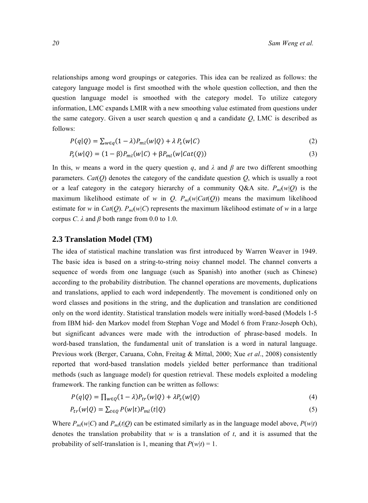relationships among word groupings or categories. This idea can be realized as follows: the category language model is first smoothed with the whole question collection, and then the question language model is smoothed with the category model. To utilize category information, LMC expands LMIR with a new smoothing value estimated from questions under the same category. Given a user search question q and a candidate *Q*, LMC is described as follows:

$$
P(q|Q) = \sum_{w \in q} (1 - \lambda) P_{ml}(w|Q) + \lambda P_s(w|C)
$$
\n(2)

$$
P_s(w|Q) = (1 - \beta)P_{ml}(w|C) + \beta P_{ml}(w|Cat(Q))
$$
\n(3)

In this, *w* means a word in the query question *q*, and  $\lambda$  and  $\beta$  are two different smoothing parameters. *Cat*(*Q*) denotes the category of the candidate question *Q*, which is usually a root or a leaf category in the category hierarchy of a community  $Q\&A$  site.  $P_{ml}(w|Q)$  is the maximum likelihood estimate of *w* in *Q. P<sub>ml</sub>*(*w*|*Cat*(*Q*)) means the maximum likelihood estimate for *w* in *Cat*(*Q*).  $P_{ml}(w|C)$  represents the maximum likelihood estimate of *w* in a large corpus *C*.  $\lambda$  and  $\beta$  both range from 0.0 to 1.0.

#### **2.3 Translation Model (TM)**

The idea of statistical machine translation was first introduced by Warren Weaver in 1949. The basic idea is based on a string-to-string noisy channel model. The channel converts a sequence of words from one language (such as Spanish) into another (such as Chinese) according to the probability distribution. The channel operations are movements, duplications and translations, applied to each word independently. The movement is conditioned only on word classes and positions in the string, and the duplication and translation are conditioned only on the word identity. Statistical translation models were initially word-based (Models 1-5 from IBM hid- den Markov model from Stephan Voge and Model 6 from Franz-Joseph Och), but significant advances were made with the introduction of phrase-based models. In word-based translation, the fundamental unit of translation is a word in natural language. Previous work (Berger, Caruana, Cohn, Freitag & Mittal, 2000; Xue *et al*., 2008) consistently reported that word-based translation models yielded better performance than traditional methods (such as language model) for question retrieval. These models exploited a modeling framework. The ranking function can be written as follows:

$$
P(q|Q) = \prod_{w \in Q} (1 - \lambda) P_{tr}(w|Q) + \lambda P_s(w|Q)
$$
\n<sup>(4)</sup>

$$
P_{tr}(w|Q) = \sum_{t \in Q} P(w|t) P_{ml}(t|Q)
$$
\n<sup>(5)</sup>

Where  $P_{ml}(w|C)$  and  $P_{ml}(t|Q)$  can be estimated similarly as in the language model above,  $P(w|t)$ denotes the translation probability that  $w$  is a translation of  $t$ , and it is assumed that the probability of self-translation is 1, meaning that  $P(w|t) = 1$ .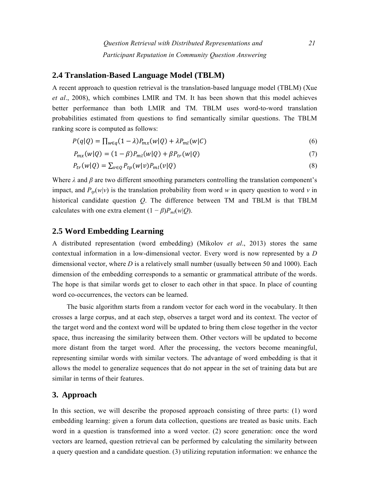# **2.4 Translation-Based Language Model (TBLM)**

A recent approach to question retrieval is the translation-based language model (TBLM) (Xue *et al*., 2008), which combines LMIR and TM. It has been shown that this model achieves better performance than both LMIR and TM. TBLM uses word-to-word translation probabilities estimated from questions to find semantically similar questions. The TBLM ranking score is computed as follows:

$$
P(q|Q) = \prod_{w \in q} (1 - \lambda) P_{mx}(w|Q) + \lambda P_{ml}(w|C)
$$
\n<sup>(6)</sup>

$$
P_{mx}(w|Q) = (1 - \beta)P_{ml}(w|Q) + \beta P_{tr}(w|Q)
$$
\n(7)

$$
P_{tr}(w|Q) = \sum_{v \in Q} P_{tp}(w|v) P_{ml}(v|Q)
$$
\n(8)

Where  $\lambda$  and  $\beta$  are two different smoothing parameters controlling the translation component's impact, and  $P_{tp}(w|v)$  is the translation probability from word *w* in query question to word *v* in historical candidate question *Q*. The difference between TM and TBLM is that TBLM calculates with one extra element  $(1 - \beta)P_{ml}(w|Q)$ .

## **2.5 Word Embedding Learning**

A distributed representation (word embedding) (Mikolov *et al*., 2013) stores the same contextual information in a low-dimensional vector. Every word is now represented by a *D* dimensional vector, where *D* is a relatively small number (usually between 50 and 1000). Each dimension of the embedding corresponds to a semantic or grammatical attribute of the words. The hope is that similar words get to closer to each other in that space. In place of counting word co-occurrences, the vectors can be learned.

The basic algorithm starts from a random vector for each word in the vocabulary. It then crosses a large corpus, and at each step, observes a target word and its context. The vector of the target word and the context word will be updated to bring them close together in the vector space, thus increasing the similarity between them. Other vectors will be updated to become more distant from the target word. After the processing, the vectors become meaningful, representing similar words with similar vectors. The advantage of word embedding is that it allows the model to generalize sequences that do not appear in the set of training data but are similar in terms of their features.

# **3. Approach**

In this section, we will describe the proposed approach consisting of three parts: (1) word embedding learning: given a forum data collection, questions are treated as basic units. Each word in a question is transformed into a word vector. (2) score generation: once the word vectors are learned, question retrieval can be performed by calculating the similarity between a query question and a candidate question. (3) utilizing reputation information: we enhance the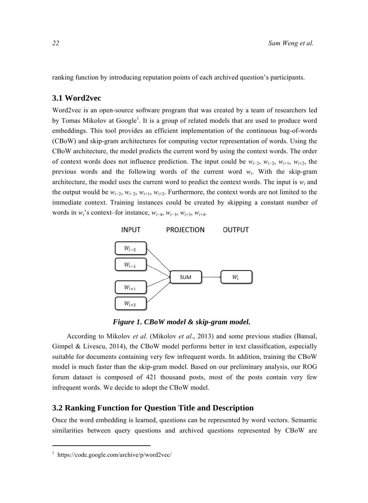ranking function by introducing reputation points of each archived question's participants.

# **3.1 Word2vec**

Word2vec is an open-source software program that was created by a team of researchers led by Tomas Mikolov at Google<sup>1</sup>. It is a group of related models that are used to produce word embeddings. This tool provides an efficient implementation of the continuous bag-of-words (CBoW) and skip-gram architectures for computing vector representation of words. Using the CBoW architecture, the model predicts the current word by using the context words. The order of context words does not influence prediction. The input could be *wi*−2, *wi*−2, *wi*+1, *wi*+2, the previous words and the following words of the current word *wi*. With the skip-gram architecture, the model uses the current word to predict the context words. The input is  $w_i$  and the output would be *wi*−2, *wi*−2, *wi*+1, *wi*+2. Furthermore, the context words are not limited to the immediate context. Training instances could be created by skipping a constant number of words in *wi*'s context–for instance, *wi*−4, *wi*−3, *wi*+3, *wi*+4.



*Figure 1. CBoW model & skip-gram model.* 

According to Mikolov *et al*. (Mikolov *et al*., 2013) and some previous studies (Bansal, Gimpel & Livescu, 2014), the CBoW model performs better in text classification, especially suitable for documents containing very few infrequent words. In addition, training the CBoW model is much faster than the skip-gram model. Based on our preliminary analysis, our ROG forum dataset is composed of 421 thousand posts, most of the posts contain very few infrequent words. We decide to adopt the CBoW model.

#### **3.2 Ranking Function for Question Title and Description**

Once the word embedding is learned, questions can be represented by word vectors. Semantic similarities between query questions and archived questions represented by CBoW are

<sup>1</sup> https://code.google.com/archive/p/word2vec/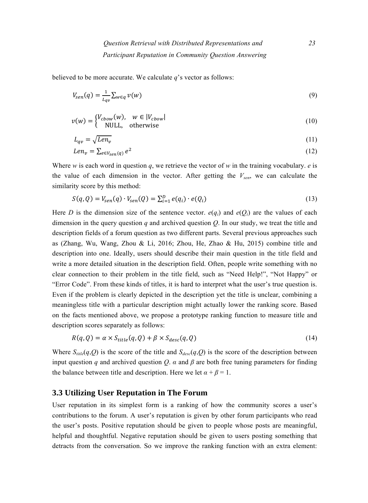believed to be more accurate. We calculate *q*'s vector as follows:

$$
V_{sen}(q) = \frac{1}{L_{qv}} \sum_{w \in q} \nu(w) \tag{9}
$$

$$
v(w) = \begin{cases} V_{cbow}(w), & w \in |V_{cbow}| \\ \text{NULL}, & \text{otherwise} \end{cases}
$$
 (10)

$$
L_{qv} = \sqrt{Len_v} \tag{11}
$$

$$
Len_v = \sum_{e \in V_{sen}(q)} e^2
$$
\n(12)

Where *w* is each word in question *q*, we retrieve the vector of *w* in the training vocabulary. *e* is the value of each dimension in the vector. After getting the  $V_{sen}$ , we can calculate the similarity score by this method:

$$
S(q, Q) = V_{sen}(q) \cdot V_{sen}(Q) = \sum_{i=1}^{D} e(q_i) \cdot e(Q_i)
$$
\n(13)

Here *D* is the dimension size of the sentence vector.  $e(q_i)$  and  $e(O_i)$  are the values of each dimension in the query question *q* and archived question *Q*. In our study, we treat the title and description fields of a forum question as two different parts. Several previous approaches such as (Zhang, Wu, Wang, Zhou & Li, 2016; Zhou, He, Zhao & Hu, 2015) combine title and description into one. Ideally, users should describe their main question in the title field and write a more detailed situation in the description field. Often, people write something with no clear connection to their problem in the title field, such as "Need Help!", "Not Happy" or "Error Code". From these kinds of titles, it is hard to interpret what the user's true question is. Even if the problem is clearly depicted in the description yet the title is unclear, combining a meaningless title with a particular description might actually lower the ranking score. Based on the facts mentioned above, we propose a prototype ranking function to measure title and description scores separately as follows:

$$
R(q, Q) = \alpha \times S_{title}(q, Q) + \beta \times S_{desc}(q, Q)
$$
\n(14)

Where  $S_{\text{title}}(q, Q)$  is the score of the title and  $S_{\text{desc}}(q, Q)$  is the score of the description between input question *q* and archived question *Q*.  $\alpha$  and  $\beta$  are both free tuning parameters for finding the balance between title and description. Here we let  $\alpha + \beta = 1$ .

## **3.3 Utilizing User Reputation in The Forum**

User reputation in its simplest form is a ranking of how the community scores a user's contributions to the forum. A user's reputation is given by other forum participants who read the user's posts. Positive reputation should be given to people whose posts are meaningful, helpful and thoughtful. Negative reputation should be given to users posting something that detracts from the conversation. So we improve the ranking function with an extra element: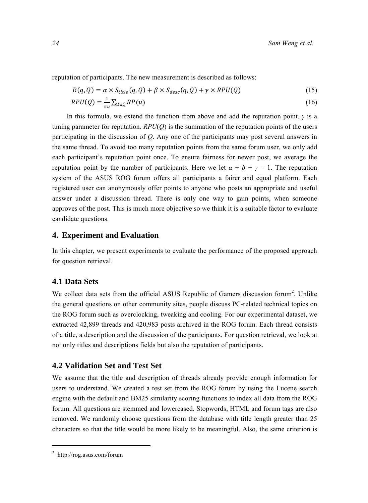reputation of participants. The new measurement is described as follows:

$$
R(q, Q) = \alpha \times S_{title}(q, Q) + \beta \times S_{desc}(q, Q) + \gamma \times RPU(Q)
$$
\n(15)

$$
RPU(Q) = \frac{1}{\#u} \sum_{u \in Q} RP(u) \tag{16}
$$

In this formula, we extend the function from above and add the reputation point. *γ* is a tuning parameter for reputation. *RPU*(*Q*) is the summation of the reputation points of the users participating in the discussion of *Q*. Any one of the participants may post several answers in the same thread. To avoid too many reputation points from the same forum user, we only add each participant's reputation point once. To ensure fairness for newer post, we average the reputation point by the number of participants. Here we let  $\alpha + \beta + \gamma = 1$ . The reputation system of the ASUS ROG forum offers all participants a fairer and equal platform. Each registered user can anonymously offer points to anyone who posts an appropriate and useful answer under a discussion thread. There is only one way to gain points, when someone approves of the post. This is much more objective so we think it is a suitable factor to evaluate candidate questions.

# **4. Experiment and Evaluation**

In this chapter, we present experiments to evaluate the performance of the proposed approach for question retrieval.

# **4.1 Data Sets**

We collect data sets from the official ASUS Republic of Gamers discussion forum<sup>2</sup>. Unlike the general questions on other community sites, people discuss PC-related technical topics on the ROG forum such as overclocking, tweaking and cooling. For our experimental dataset, we extracted 42,899 threads and 420,983 posts archived in the ROG forum. Each thread consists of a title, a description and the discussion of the participants. For question retrieval, we look at not only titles and descriptions fields but also the reputation of participants.

# **4.2 Validation Set and Test Set**

We assume that the title and description of threads already provide enough information for users to understand. We created a test set from the ROG forum by using the Lucene search engine with the default and BM25 similarity scoring functions to index all data from the ROG forum. All questions are stemmed and lowercased. Stopwords, HTML and forum tags are also removed. We randomly choose questions from the database with title length greater than 25 characters so that the title would be more likely to be meaningful. Also, the same criterion is

<sup>2</sup> http://rog.asus.com/forum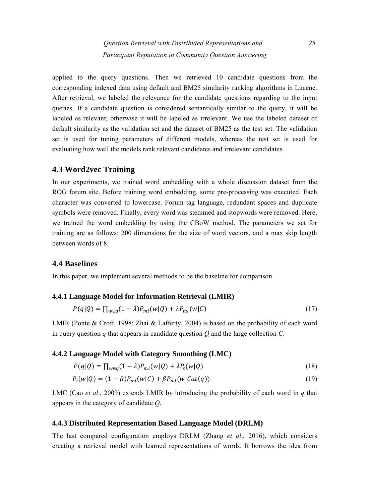*Question Retrieval with Distributed Representations and 25 Participant Reputation in Community Question Answering* 

applied to the query questions. Then we retrieved 10 candidate questions from the corresponding indexed data using default and BM25 similarity ranking algorithms in Lucene. After retrieval, we labeled the relevance for the candidate questions regarding to the input queries. If a candidate question is considered semantically similar to the query, it will be labeled as relevant; otherwise it will be labeled as irrelevant. We use the labeled dataset of default similarity as the validation set and the dataset of BM25 as the test set. The validation set is used for tuning parameters of different models, whereas the test set is used for evaluating how well the models rank relevant candidates and irrelevant candidates.

#### **4.3 Word2vec Training**

In our experiments, we trained word embedding with a whole discussion dataset from the ROG forum site. Before training word embedding, some pre-processing was executed. Each character was converted to lowercase. Forum tag language, redundant spaces and duplicate symbols were removed. Finally, every word was stemmed and stopwords were removed. Here, we trained the word embedding by using the CBoW method. The parameters we set for training are as follows: 200 dimensions for the size of word vectors, and a max skip length between words of 8.

# **4.4 Baselines**

In this paper, we implement several methods to be the baseline for comparison.

#### **4.4.1 Language Model for Information Retrieval (LMIR)**

$$
P(q|Q) = \prod_{w \in q} (1 - \lambda) P_{ml}(w|Q) + \lambda P_{ml}(w|C)
$$
\n(17)

LMIR (Ponte & Croft, 1998; Zhai & Lafferty, 2004) is based on the probability of each word in query question *q* that appears in candidate question *Q* and the large collection *C*.

#### **4.4.2 Language Model with Category Smoothing (LMC)**

$$
P(q|Q) = \prod_{w \in q} (1 - \lambda) P_{ml}(w|Q) + \lambda P_s(w|Q)
$$
\n(18)

$$
P_{s}(w|Q) = (1 - \beta)P_{ml}(w|C) + \beta P_{ml}(w|Cat(q))
$$
\n(19)

LMC (Cao *et al*., 2009) extends LMIR by introducing the probability of each word in *q* that appears in the category of candidate *Q*.

#### **4.4.3 Distributed Representation Based Language Model (DRLM)**

The last compared configuration employs DRLM (Zhang *et al*., 2016), which considers creating a retrieval model with learned representations of words. It borrows the idea from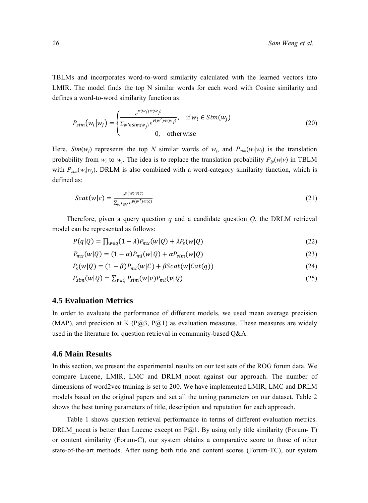TBLMs and incorporates word-to-word similarity calculated with the learned vectors into LMIR. The model finds the top N similar words for each word with Cosine similarity and defines a word-to-word similarity function as:

$$
P_{sim}(w_i|w_j) = \begin{cases} \frac{e^{v(w_i) \cdot v(w_j)}}{\sum_{w' \in sim(w_j)} e^{v(w') \cdot v(w_j)}}, & \text{if } w_i \in Sim(w_j) \\ 0, & \text{otherwise} \end{cases}
$$
(20)

Here,  $Sim(w_i)$  represents the top *N* similar words of  $w_i$ , and  $P_{sim}(w_i|w_i)$  is the translation probability from  $w_i$  to  $w_j$ . The idea is to replace the translation probability  $P_{ip}(w|v)$  in TBLM with  $P_{sim}(w_i|w_j)$ . DRLM is also combined with a word-category similarity function, which is defined as:

$$
Scat(w|c) = \frac{e^{\nu(w)\cdot\nu(c)}}{\sum_{w'\in V} e^{\nu(w')\cdot\nu(c)}}\tag{21}
$$

Therefore, given a query question  $q$  and a candidate question  $Q$ , the DRLM retrieval model can be represented as follows:

$$
P(q|Q) = \prod_{w \in q} (1 - \lambda) P_{mx}(w|Q) + \lambda P_s(w|Q)
$$
\n(22)

$$
P_{mx}(w|Q) = (1 - \alpha)P_{ml}(w|Q) + \alpha P_{sim}(w|Q)
$$
\n(23)

$$
P_s(w|Q) = (1 - \beta)P_{ml}(w|C) + \beta Scat(w|Cat(q))
$$
\n(24)

$$
P_{sim}(w|Q) = \sum_{v \in Q} P_{sim}(w|v) P_{ml}(v|Q)
$$
\n(25)

## **4.5 Evaluation Metrics**

In order to evaluate the performance of different models, we used mean average precision (MAP), and precision at K (P $(2, 3, P\omega)$ ) as evaluation measures. These measures are widely used in the literature for question retrieval in community-based Q&A.

#### **4.6 Main Results**

In this section, we present the experimental results on our test sets of the ROG forum data. We compare Lucene, LMIR, LMC and DRLM\_nocat against our approach. The number of dimensions of word2vec training is set to 200. We have implemented LMIR, LMC and DRLM models based on the original papers and set all the tuning parameters on our dataset. Table 2 shows the best tuning parameters of title, description and reputation for each approach.

Table 1 shows question retrieval performance in terms of different evaluation metrics. DRLM nocat is better than Lucene except on  $P@1$ . By using only title similarity (Forum- T) or content similarity (Forum-C), our system obtains a comparative score to those of other state-of-the-art methods. After using both title and content scores (Forum-TC), our system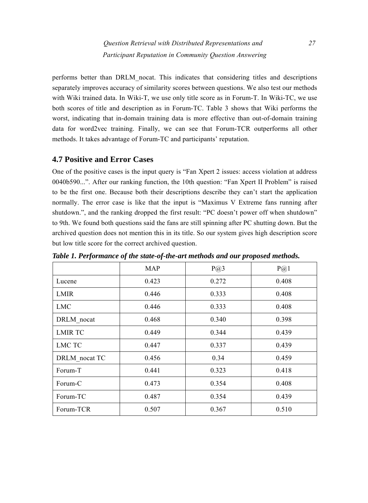*Question Retrieval with Distributed Representations and 27 Participant Reputation in Community Question Answering* 

performs better than DRLM\_nocat. This indicates that considering titles and descriptions separately improves accuracy of similarity scores between questions. We also test our methods with Wiki trained data. In Wiki-T, we use only title score as in Forum-T. In Wiki-TC, we use both scores of title and description as in Forum-TC. Table 3 shows that Wiki performs the worst, indicating that in-domain training data is more effective than out-of-domain training data for word2vec training. Finally, we can see that Forum-TCR outperforms all other methods. It takes advantage of Forum-TC and participants' reputation.

# **4.7 Positive and Error Cases**

One of the positive cases is the input query is "Fan Xpert 2 issues: access violation at address 0040b590...". After our ranking function, the 10th question: "Fan Xpert II Problem" is raised to be the first one. Because both their descriptions describe they can't start the application normally. The error case is like that the input is "Maximus V Extreme fans running after shutdown.", and the ranking dropped the first result: "PC doesn't power off when shutdown" to 9th. We found both questions said the fans are still spinning after PC shutting down. But the archived question does not mention this in its title. So our system gives high description score but low title score for the correct archived question.

|                | <b>MAP</b> | P@3   | $P(\widehat{a})$ |
|----------------|------------|-------|------------------|
| Lucene         | 0.423      | 0.272 | 0.408            |
| <b>LMIR</b>    | 0.446      | 0.333 | 0.408            |
| <b>LMC</b>     | 0.446      | 0.333 | 0.408            |
| DRLM nocat     | 0.468      | 0.340 | 0.398            |
| <b>LMIR TC</b> | 0.449      | 0.344 | 0.439            |
| LMC TC         | 0.447      | 0.337 | 0.439            |
| DRLM nocat TC  | 0.456      | 0.34  | 0.459            |
| Forum-T        | 0.441      | 0.323 | 0.418            |
| Forum-C        | 0.473      | 0.354 | 0.408            |
| Forum-TC       | 0.487      | 0.354 | 0.439            |
| Forum-TCR      | 0.507      | 0.367 | 0.510            |

*Table 1. Performance of the state-of-the-art methods and our proposed methods.*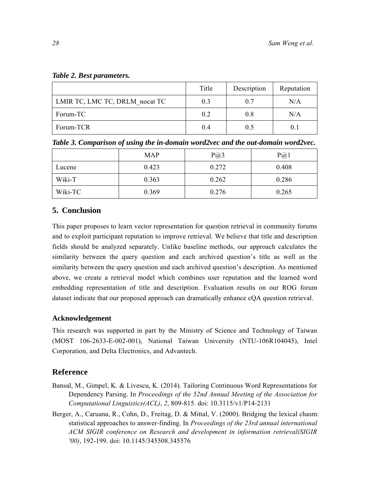*Table 2. Best parameters.* 

|                                | Title | Description | Reputation |
|--------------------------------|-------|-------------|------------|
| LMIR TC, LMC TC, DRLM nocat TC | 0.3   | 0.7         | N/A        |
| Forum-TC                       | 0.2   | 0.8         | N/A        |
| Forum-TCR                      | 0.4   | 0.5         | 0.1        |

*Table 3. Comparison of using the in-domain word2vec and the out-domain word2vec.* 

|         | <b>MAP</b> | $P(\hat{\omega})$ 3 | $P(\widehat{a})$ |
|---------|------------|---------------------|------------------|
| Lucene  | 0.423      | 0.272               | 0.408            |
| Wiki-T  | 0.363      | 0.262               | 0.286            |
| Wiki-TC | 0.369      | 0.276               | 0.265            |

# **5. Conclusion**

This paper proposes to learn vector representation for question retrieval in community forums and to exploit participant reputation to improve retrieval. We believe that title and description fields should be analyzed separately. Unlike baseline methods, our approach calculates the similarity between the query question and each archived question's title as well as the similarity between the query question and each archived question's description. As mentioned above, we create a retrieval model which combines user reputation and the learned word embedding representation of title and description. Evaluation results on our ROG forum dataset indicate that our proposed approach can dramatically enhance cQA question retrieval.

# **Acknowledgement**

This research was supported in part by the Ministry of Science and Technology of Taiwan (MOST 106-2633-E-002-001), National Taiwan University (NTU-106R104045), Intel Corporation, and Delta Electronics, and Advantech.

# **Reference**

- Bansal, M., Gimpel, K. & Livescu, K. (2014). Tailoring Continuous Word Representations for Dependency Parsing. In *Proceedings of the 52nd Annual Meeting of the Association for Computational Linguistics(ACL)*, *2*, 809-815. doi: 10.3115/v1/P14-2131
- Berger, A., Caruana, R., Cohn, D., Freitag, D. & Mittal, V. (2000). Bridging the lexical chasm: statistical approaches to answer-finding. In *Proceedings of the 23rd annual international ACM SIGIR conference on Research and development in information retrieval(SIGIR '00)*, 192-199. doi: 10.1145/345508.345576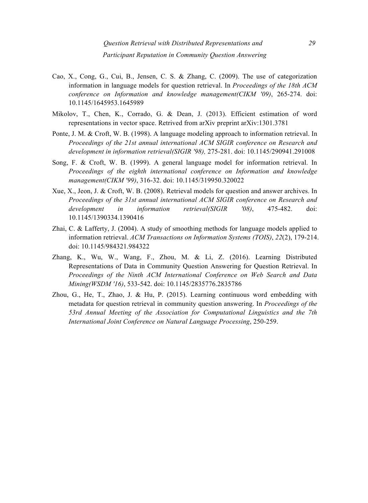- Cao, X., Cong, G., Cui, B., Jensen, C. S. & Zhang, C. (2009). The use of categorization information in language models for question retrieval. In *Proceedings of the 18th ACM conference on Information and knowledge management(CIKM '09)*, 265-274. doi: 10.1145/1645953.1645989
- Mikolov, T., Chen, K., Corrado, G. & Dean, J. (2013). Efficient estimation of word representations in vector space. Retrived from arXiv preprint arXiv:1301.3781
- Ponte, J. M. & Croft, W. B. (1998). A language modeling approach to information retrieval. In *Proceedings of the 21st annual international ACM SIGIR conference on Research and development in information retrieval(SIGIR '98),* 275-281. doi: 10.1145/290941.291008
- Song, F. & Croft, W. B. (1999). A general language model for information retrieval. In *Proceedings of the eighth international conference on Information and knowledge management(CIKM '99)*, 316-32. doi: 10.1145/319950.320022
- Xue, X., Jeon, J. & Croft, W. B. (2008). Retrieval models for question and answer archives. In *Proceedings of the 31st annual international ACM SIGIR conference on Research and development in information retrieval(SIGIR '08)*, 475-482. doi: 10.1145/1390334.1390416
- Zhai, C. & Lafferty, J. (2004). A study of smoothing methods for language models applied to information retrieval. *ACM Transactions on Information Systems (TOIS)*, *22*(2), 179-214. doi: 10.1145/984321.984322
- Zhang, K., Wu, W., Wang, F., Zhou, M. & Li, Z. (2016). Learning Distributed Representations of Data in Community Question Answering for Question Retrieval. In *Proceedings of the Ninth ACM International Conference on Web Search and Data Mining(WSDM '16)*, 533-542. doi: 10.1145/2835776.2835786
- Zhou, G., He, T., Zhao, J. & Hu, P. (2015). Learning continuous word embedding with metadata for question retrieval in community question answering. In *Proceedings of the 53rd Annual Meeting of the Association for Computational Linguistics and the 7th International Joint Conference on Natural Language Processing*, 250-259.